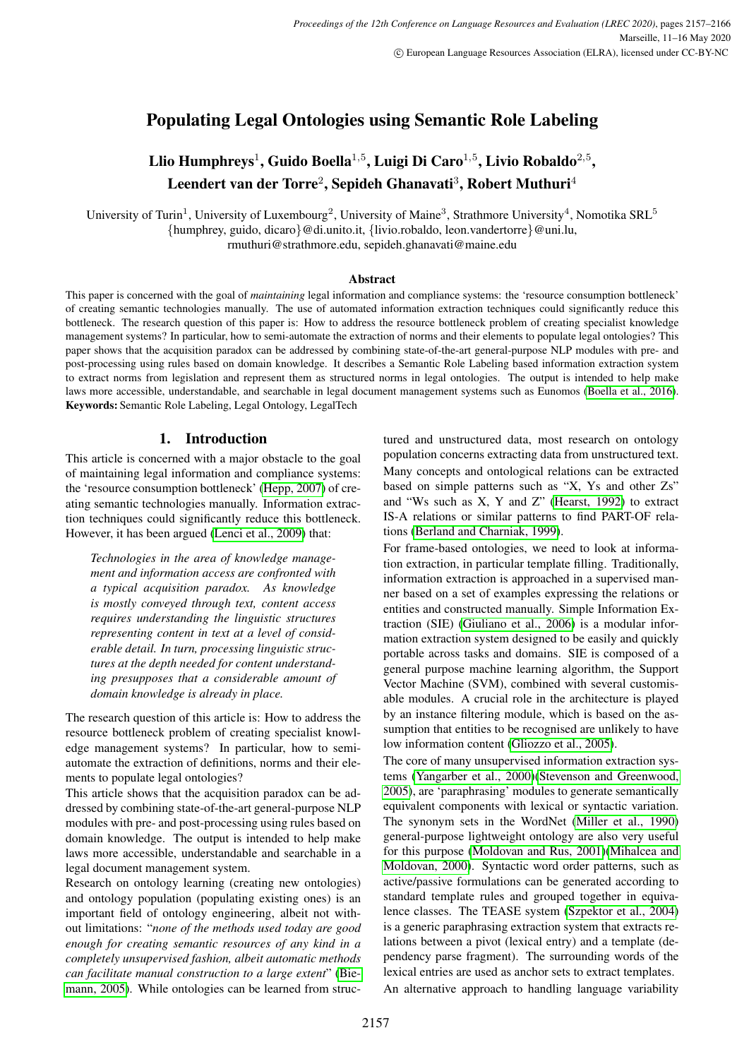# Populating Legal Ontologies using Semantic Role Labeling

# Llio Humphreys $^1$ , Guido Boella $^{1,5}$ , Luigi Di Caro $^{1,5}$ , Livio Robaldo $^{2,5},$ Leendert van der Torre<sup>2</sup>, Sepideh Ghanavati<sup>3</sup>, Robert Muthuri<sup>4</sup>

University of Turin<sup>1</sup>, University of Luxembourg<sup>2</sup>, University of Maine<sup>3</sup>, Strathmore University<sup>4</sup>, Nomotika SRL<sup>5</sup> {humphrey, guido, dicaro}@di.unito.it, {livio.robaldo, leon.vandertorre}@uni.lu, rmuthuri@strathmore.edu, sepideh.ghanavati@maine.edu

### **Abstract**

This paper is concerned with the goal of *maintaining* legal information and compliance systems: the 'resource consumption bottleneck' of creating semantic technologies manually. The use of automated information extraction techniques could significantly reduce this bottleneck. The research question of this paper is: How to address the resource bottleneck problem of creating specialist knowledge management systems? In particular, how to semi-automate the extraction of norms and their elements to populate legal ontologies? This paper shows that the acquisition paradox can be addressed by combining state-of-the-art general-purpose NLP modules with pre- and post-processing using rules based on domain knowledge. It describes a Semantic Role Labeling based information extraction system to extract norms from legislation and represent them as structured norms in legal ontologies. The output is intended to help make laws more accessible, understandable, and searchable in legal document management systems such as Eunomos [\(Boella et al., 2016\)](#page-8-0). Keywords: Semantic Role Labeling, Legal Ontology, LegalTech

## 1. Introduction

This article is concerned with a major obstacle to the goal of maintaining legal information and compliance systems: the 'resource consumption bottleneck' [\(Hepp, 2007\)](#page-8-1) of creating semantic technologies manually. Information extraction techniques could significantly reduce this bottleneck. However, it has been argued [\(Lenci et al., 2009\)](#page-9-0) that:

*Technologies in the area of knowledge management and information access are confronted with a typical acquisition paradox. As knowledge is mostly conveyed through text, content access requires understanding the linguistic structures representing content in text at a level of considerable detail. In turn, processing linguistic structures at the depth needed for content understanding presupposes that a considerable amount of domain knowledge is already in place.*

The research question of this article is: How to address the resource bottleneck problem of creating specialist knowledge management systems? In particular, how to semiautomate the extraction of definitions, norms and their elements to populate legal ontologies?

This article shows that the acquisition paradox can be addressed by combining state-of-the-art general-purpose NLP modules with pre- and post-processing using rules based on domain knowledge. The output is intended to help make laws more accessible, understandable and searchable in a legal document management system.

Research on ontology learning (creating new ontologies) and ontology population (populating existing ones) is an important field of ontology engineering, albeit not without limitations: "*none of the methods used today are good enough for creating semantic resources of any kind in a completely unsupervised fashion, albeit automatic methods can facilitate manual construction to a large extent*" [\(Bie](#page-8-2)[mann, 2005\)](#page-8-2). While ontologies can be learned from structured and unstructured data, most research on ontology population concerns extracting data from unstructured text. Many concepts and ontological relations can be extracted based on simple patterns such as "X, Ys and other Zs" and "Ws such as X, Y and Z" [\(Hearst, 1992\)](#page-8-3) to extract IS-A relations or similar patterns to find PART-OF relations [\(Berland and Charniak, 1999\)](#page-8-4).

For frame-based ontologies, we need to look at information extraction, in particular template filling. Traditionally, information extraction is approached in a supervised manner based on a set of examples expressing the relations or entities and constructed manually. Simple Information Extraction (SIE) [\(Giuliano et al., 2006\)](#page-8-5) is a modular information extraction system designed to be easily and quickly portable across tasks and domains. SIE is composed of a general purpose machine learning algorithm, the Support Vector Machine (SVM), combined with several customisable modules. A crucial role in the architecture is played by an instance filtering module, which is based on the assumption that entities to be recognised are unlikely to have low information content [\(Gliozzo et al., 2005\)](#page-8-6).

The core of many unsupervised information extraction systems [\(Yangarber et al., 2000\)](#page-9-1)[\(Stevenson and Greenwood,](#page-9-2) [2005\)](#page-9-2), are 'paraphrasing' modules to generate semantically equivalent components with lexical or syntactic variation. The synonym sets in the WordNet [\(Miller et al., 1990\)](#page-9-3) general-purpose lightweight ontology are also very useful for this purpose [\(Moldovan and Rus, 2001\)](#page-9-4)[\(Mihalcea and](#page-9-5) [Moldovan, 2000\)](#page-9-5). Syntactic word order patterns, such as active/passive formulations can be generated according to standard template rules and grouped together in equivalence classes. The TEASE system [\(Szpektor et al., 2004\)](#page-9-6) is a generic paraphrasing extraction system that extracts relations between a pivot (lexical entry) and a template (dependency parse fragment). The surrounding words of the lexical entries are used as anchor sets to extract templates. An alternative approach to handling language variability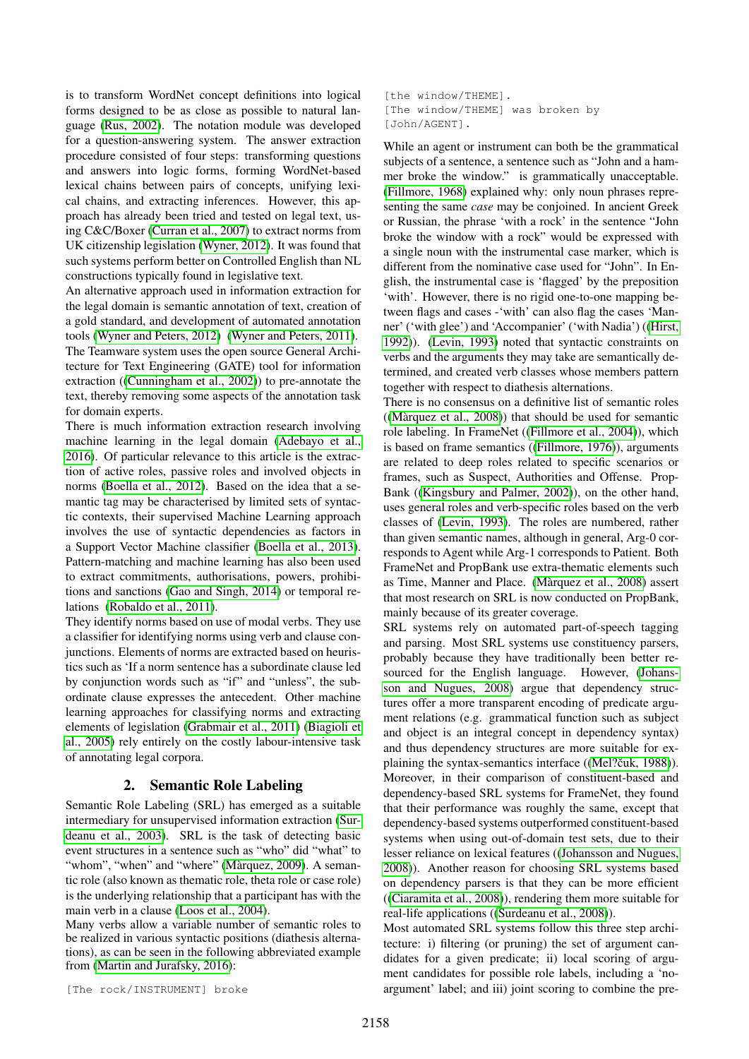is to transform WordNet concept definitions into logical forms designed to be as close as possible to natural language [\(Rus, 2002\)](#page-9-7). The notation module was developed for a question-answering system. The answer extraction procedure consisted of four steps: transforming questions and answers into logic forms, forming WordNet-based lexical chains between pairs of concepts, unifying lexical chains, and extracting inferences. However, this approach has already been tried and tested on legal text, using C&C/Boxer [\(Curran et al., 2007\)](#page-8-7) to extract norms from UK citizenship legislation [\(Wyner, 2012\)](#page-9-8). It was found that such systems perform better on Controlled English than NL constructions typically found in legislative text.

An alternative approach used in information extraction for the legal domain is semantic annotation of text, creation of a gold standard, and development of automated annotation tools [\(Wyner and Peters, 2012\)](#page-9-9) [\(Wyner and Peters, 2011\)](#page-9-10). The Teamware system uses the open source General Architecture for Text Engineering (GATE) tool for information extraction ([\(Cunningham et al., 2002\)](#page-8-8)) to pre-annotate the text, thereby removing some aspects of the annotation task for domain experts.

There is much information extraction research involving machine learning in the legal domain [\(Adebayo et al.,](#page-7-0) [2016\)](#page-7-0). Of particular relevance to this article is the extraction of active roles, passive roles and involved objects in norms [\(Boella et al., 2012\)](#page-8-9). Based on the idea that a semantic tag may be characterised by limited sets of syntactic contexts, their supervised Machine Learning approach involves the use of syntactic dependencies as factors in a Support Vector Machine classifier [\(Boella et al., 2013\)](#page-8-10). Pattern-matching and machine learning has also been used to extract commitments, authorisations, powers, prohibitions and sanctions [\(Gao and Singh, 2014\)](#page-8-11) or temporal relations [\(Robaldo et al., 2011\)](#page-9-11).

They identify norms based on use of modal verbs. They use a classifier for identifying norms using verb and clause conjunctions. Elements of norms are extracted based on heuristics such as 'If a norm sentence has a subordinate clause led by conjunction words such as "if" and "unless", the subordinate clause expresses the antecedent. Other machine learning approaches for classifying norms and extracting elements of legislation [\(Grabmair et al., 2011\)](#page-8-12) [\(Biagioli et](#page-8-13) [al., 2005\)](#page-8-13) rely entirely on the costly labour-intensive task of annotating legal corpora.

### 2. Semantic Role Labeling

Semantic Role Labeling (SRL) has emerged as a suitable intermediary for unsupervised information extraction [\(Sur](#page-9-12)[deanu et al., 2003\)](#page-9-12). SRL is the task of detecting basic event structures in a sentence such as "who" did "what" to "whom", "when" and "where" (Màrquez, 2009). A semantic role (also known as thematic role, theta role or case role) is the underlying relationship that a participant has with the main verb in a clause [\(Loos et al., 2004\)](#page-9-14).

Many verbs allow a variable number of semantic roles to be realized in various syntactic positions (diathesis alternations), as can be seen in the following abbreviated example from [\(Martin and Jurafsky, 2016\)](#page-9-15):

[The rock/INSTRUMENT] broke

[the window/THEME]. [The window/THEME] was broken by [John/AGENT].

While an agent or instrument can both be the grammatical subjects of a sentence, a sentence such as "John and a hammer broke the window." is grammatically unacceptable. [\(Fillmore, 1968\)](#page-8-14) explained why: only noun phrases representing the same *case* may be conjoined. In ancient Greek or Russian, the phrase 'with a rock' in the sentence "John broke the window with a rock" would be expressed with a single noun with the instrumental case marker, which is different from the nominative case used for "John". In English, the instrumental case is 'flagged' by the preposition 'with'. However, there is no rigid one-to-one mapping between flags and cases -'with' can also flag the cases 'Manner' ('with glee') and 'Accompanier' ('with Nadia') ([\(Hirst,](#page-8-15) [1992\)](#page-8-15)). [\(Levin, 1993\)](#page-9-16) noted that syntactic constraints on verbs and the arguments they may take are semantically determined, and created verb classes whose members pattern together with respect to diathesis alternations.

There is no consensus on a definitive list of semantic roles  $((M\text{arquez et al., }2008))$  that should be used for semantic role labeling. In FrameNet ([\(Fillmore et al., 2004\)](#page-8-16)), which is based on frame semantics ([\(Fillmore, 1976\)](#page-8-17)), arguments are related to deep roles related to specific scenarios or frames, such as Suspect, Authorities and Offense. Prop-Bank ([\(Kingsbury and Palmer, 2002\)](#page-9-18)), on the other hand, uses general roles and verb-specific roles based on the verb classes of [\(Levin, 1993\)](#page-9-16). The roles are numbered, rather than given semantic names, although in general, Arg-0 corresponds to Agent while Arg-1 corresponds to Patient. Both FrameNet and PropBank use extra-thematic elements such as Time, Manner and Place. [\(Marquez et al., 2008\)](#page-9-17) assert ` that most research on SRL is now conducted on PropBank, mainly because of its greater coverage.

SRL systems rely on automated part-of-speech tagging and parsing. Most SRL systems use constituency parsers, probably because they have traditionally been better resourced for the English language. However, [\(Johans](#page-8-18)[son and Nugues, 2008\)](#page-8-18) argue that dependency structures offer a more transparent encoding of predicate argument relations (e.g. grammatical function such as subject and object is an integral concept in dependency syntax) and thus dependency structures are more suitable for explaining the syntax-semantics interface ((Mel?čuk, 1988)). Moreover, in their comparison of constituent-based and dependency-based SRL systems for FrameNet, they found that their performance was roughly the same, except that dependency-based systems outperformed constituent-based systems when using out-of-domain test sets, due to their lesser reliance on lexical features ([\(Johansson and Nugues,](#page-8-18) [2008\)](#page-8-18)). Another reason for choosing SRL systems based on dependency parsers is that they can be more efficient ([\(Ciaramita et al., 2008\)](#page-8-19)), rendering them more suitable for real-life applications ([\(Surdeanu et al., 2008\)](#page-9-20)).

Most automated SRL systems follow this three step architecture: i) filtering (or pruning) the set of argument candidates for a given predicate; ii) local scoring of argument candidates for possible role labels, including a 'noargument' label; and iii) joint scoring to combine the pre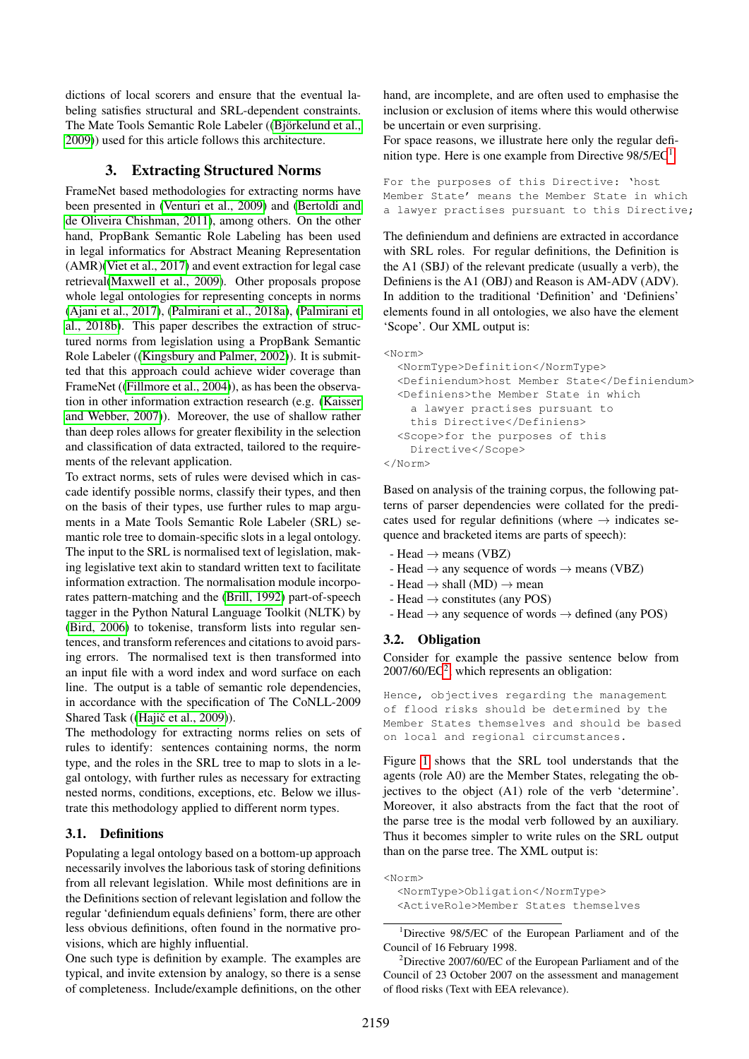dictions of local scorers and ensure that the eventual labeling satisfies structural and SRL-dependent constraints. The Mate Tools Semantic Role Labeler ((Björkelund et al., [2009\)](#page-8-20)) used for this article follows this architecture.

### 3. Extracting Structured Norms

FrameNet based methodologies for extracting norms have been presented in [\(Venturi et al., 2009\)](#page-9-21) and [\(Bertoldi and](#page-8-21) [de Oliveira Chishman, 2011\)](#page-8-21), among others. On the other hand, PropBank Semantic Role Labeling has been used in legal informatics for Abstract Meaning Representation (AMR)[\(Viet et al., 2017\)](#page-9-22) and event extraction for legal case retrieval[\(Maxwell et al., 2009\)](#page-9-23). Other proposals propose whole legal ontologies for representing concepts in norms [\(Ajani et al., 2017\)](#page-7-1), [\(Palmirani et al., 2018a\)](#page-9-24), [\(Palmirani et](#page-9-25) [al., 2018b\)](#page-9-25). This paper describes the extraction of structured norms from legislation using a PropBank Semantic Role Labeler ([\(Kingsbury and Palmer, 2002\)](#page-9-18)). It is submitted that this approach could achieve wider coverage than FrameNet ([\(Fillmore et al., 2004\)](#page-8-16)), as has been the observation in other information extraction research (e.g. [\(Kaisser](#page-8-22) [and Webber, 2007\)](#page-8-22)). Moreover, the use of shallow rather than deep roles allows for greater flexibility in the selection and classification of data extracted, tailored to the requirements of the relevant application.

To extract norms, sets of rules were devised which in cascade identify possible norms, classify their types, and then on the basis of their types, use further rules to map arguments in a Mate Tools Semantic Role Labeler (SRL) semantic role tree to domain-specific slots in a legal ontology. The input to the SRL is normalised text of legislation, making legislative text akin to standard written text to facilitate information extraction. The normalisation module incorporates pattern-matching and the [\(Brill, 1992\)](#page-8-23) part-of-speech tagger in the Python Natural Language Toolkit (NLTK) by [\(Bird, 2006\)](#page-8-24) to tokenise, transform lists into regular sentences, and transform references and citations to avoid parsing errors. The normalised text is then transformed into an input file with a word index and word surface on each line. The output is a table of semantic role dependencies, in accordance with the specification of The CoNLL-2009 Shared Task ((Hajič et al., 2009)).

The methodology for extracting norms relies on sets of rules to identify: sentences containing norms, the norm type, and the roles in the SRL tree to map to slots in a legal ontology, with further rules as necessary for extracting nested norms, conditions, exceptions, etc. Below we illustrate this methodology applied to different norm types.

#### 3.1. Definitions

Populating a legal ontology based on a bottom-up approach necessarily involves the laborious task of storing definitions from all relevant legislation. While most definitions are in the Definitions section of relevant legislation and follow the regular 'definiendum equals definiens' form, there are other less obvious definitions, often found in the normative provisions, which are highly influential.

One such type is definition by example. The examples are typical, and invite extension by analogy, so there is a sense of completeness. Include/example definitions, on the other hand, are incomplete, and are often used to emphasise the inclusion or exclusion of items where this would otherwise be uncertain or even surprising.

For space reasons, we illustrate here only the regular definition type. Here is one example from Directive  $98/5/EC<sup>1</sup>$  $98/5/EC<sup>1</sup>$  $98/5/EC<sup>1</sup>$ 

For the purposes of this Directive: 'host Member State' means the Member State in which a lawyer practises pursuant to this Directive;

The definiendum and definiens are extracted in accordance with SRL roles. For regular definitions, the Definition is the A1 (SBJ) of the relevant predicate (usually a verb), the Definiens is the A1 (OBJ) and Reason is AM-ADV (ADV). In addition to the traditional 'Definition' and 'Definiens' elements found in all ontologies, we also have the element 'Scope'. Our XML output is:

```
<Norm>
  <NormType>Definition</NormType>
  <Definiendum>host Member State</Definiendum>
  <Definiens>the Member State in which
    a lawyer practises pursuant to
    this Directive</Definiens>
  <Scope>for the purposes of this
   Directive</Scope>
</Norm>
```
Based on analysis of the training corpus, the following patterns of parser dependencies were collated for the predicates used for regular definitions (where  $\rightarrow$  indicates sequence and bracketed items are parts of speech):

- Head  $\rightarrow$  means (VBZ)
- Head  $\rightarrow$  any sequence of words  $\rightarrow$  means (VBZ)
- Head  $\rightarrow$  shall (MD)  $\rightarrow$  mean
- Head  $\rightarrow$  constitutes (any POS)
- Head  $\rightarrow$  any sequence of words  $\rightarrow$  defined (any POS)

#### 3.2. Obligation

Consider for example the passive sentence below from 2007/60/EC[2](#page-2-1) , which represents an obligation:

Hence, objectives regarding the management of flood risks should be determined by the Member States themselves and should be based on local and regional circumstances.

Figure [1](#page-3-0) shows that the SRL tool understands that the agents (role A0) are the Member States, relegating the objectives to the object (A1) role of the verb 'determine'. Moreover, it also abstracts from the fact that the root of the parse tree is the modal verb followed by an auxiliary. Thus it becomes simpler to write rules on the SRL output than on the parse tree. The XML output is:

```
<Norm>
```
<NormType>Obligation</NormType> <ActiveRole>Member States themselves

<span id="page-2-0"></span><sup>1</sup>Directive 98/5/EC of the European Parliament and of the Council of 16 February 1998.

<span id="page-2-1"></span><sup>2</sup>Directive 2007/60/EC of the European Parliament and of the Council of 23 October 2007 on the assessment and management of flood risks (Text with EEA relevance).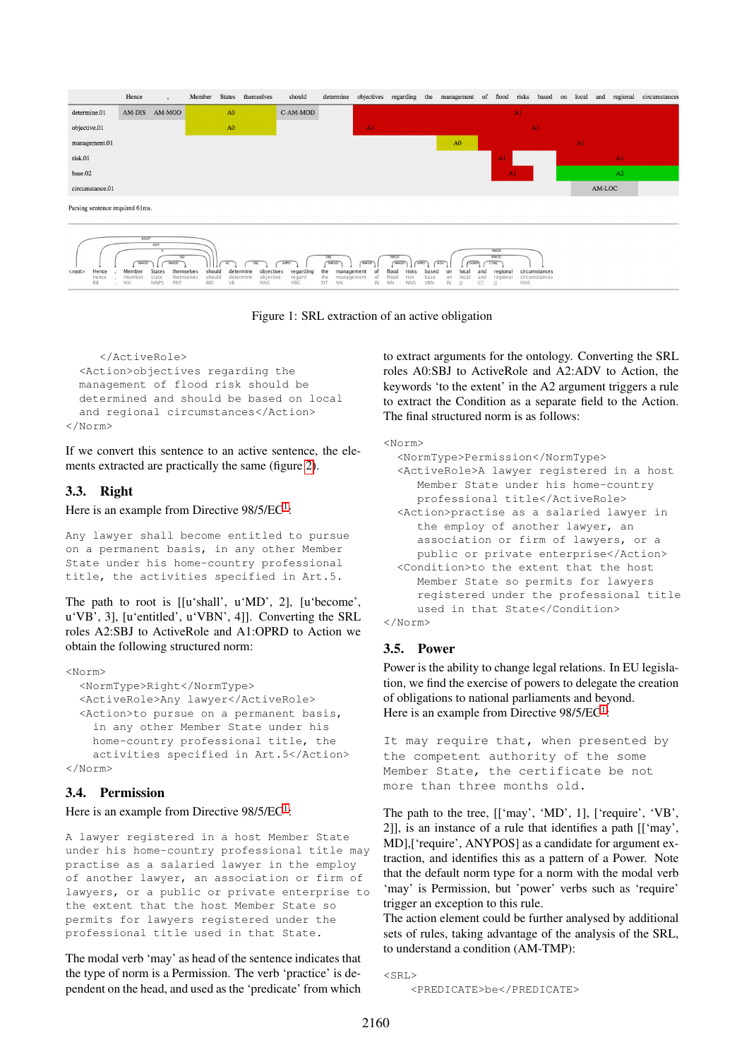

<span id="page-3-0"></span>Figure 1: SRL extraction of an active obligation

```
</ActiveRole>
  <Action>objectives regarding the
  management of flood risk should be
  determined and should be based on local
  and regional circumstances</Action>
\langle/Norm>
```
If we convert this sentence to an active sentence, the elements extracted are practically the same (figure [2\)](#page-4-0).

## 3.3. Right

Here is an example from Directive  $98/5/EC<sup>1</sup>$  $98/5/EC<sup>1</sup>$  $98/5/EC<sup>1</sup>$ :

Any lawyer shall become entitled to pursue on a permanent basis, in any other Member State under his home-country professional title, the activities specified in Art.5.

The path to root is [[u'shall', u'MD', 2], [u'become', u'VB', 3], [u'entitled', u'VBN', 4]]. Converting the SRL roles A2:SBJ to ActiveRole and A1:OPRD to Action we obtain the following structured norm:

#### <Norm>

```
<NormType>Right</NormType>
  <ActiveRole>Any lawyer</ActiveRole>
  <Action>to pursue on a permanent basis,
    in any other Member State under his
    home-country professional title, the
    activities specified in Art.5</Action>
</Norm>
```
### 3.4. Permission

### Here is an example from Directive 98/5/EC<sup>[1](#page-2-0)</sup>:

A lawyer registered in a host Member State under his home-country professional title may practise as a salaried lawyer in the employ of another lawyer, an association or firm of lawyers, or a public or private enterprise to the extent that the host Member State so permits for lawyers registered under the professional title used in that State.

The modal verb 'may' as head of the sentence indicates that the type of norm is a Permission. The verb 'practice' is dependent on the head, and used as the 'predicate' from which to extract arguments for the ontology. Converting the SRL roles A0:SBJ to ActiveRole and A2:ADV to Action, the keywords 'to the extent' in the A2 argument triggers a rule to extract the Condition as a separate field to the Action. The final structured norm is as follows:

# <Norm> <NormType>Permission</NormType>

```
<ActiveRole>A lawyer registered in a host
    Member State under his home-country
    professional title</ActiveRole>
 <Action>practise as a salaried lawyer in
    the employ of another lawyer, an
    association or firm of lawyers, or a
    public or private enterprise</Action>
 <Condition>to the extent that the host
    Member State so permits for lawyers
    registered under the professional title
    used in that State</Condition>
</Norm>
```
# 3.5. Power

Power is the ability to change legal relations. In EU legislation, we find the exercise of powers to delegate the creation of obligations to national parliaments and beyond. Here is an example from Directive  $98/5/EC<sup>1</sup>$  $98/5/EC<sup>1</sup>$  $98/5/EC<sup>1</sup>$ :

It may require that, when presented by the competent authority of the some Member State, the certificate be not more than three months old.

The path to the tree, [['may', 'MD', 1], ['require', 'VB', 2]], is an instance of a rule that identifies a path [['may', MD],['require', ANYPOS] as a candidate for argument extraction, and identifies this as a pattern of a Power. Note that the default norm type for a norm with the modal verb 'may' is Permission, but 'power' verbs such as 'require' trigger an exception to this rule.

The action element could be further analysed by additional sets of rules, taking advantage of the analysis of the SRL, to understand a condition (AM-TMP):

 $\leq$ SRI $>$ 

<sup>&</sup>lt;PREDICATE>be</PREDICATE>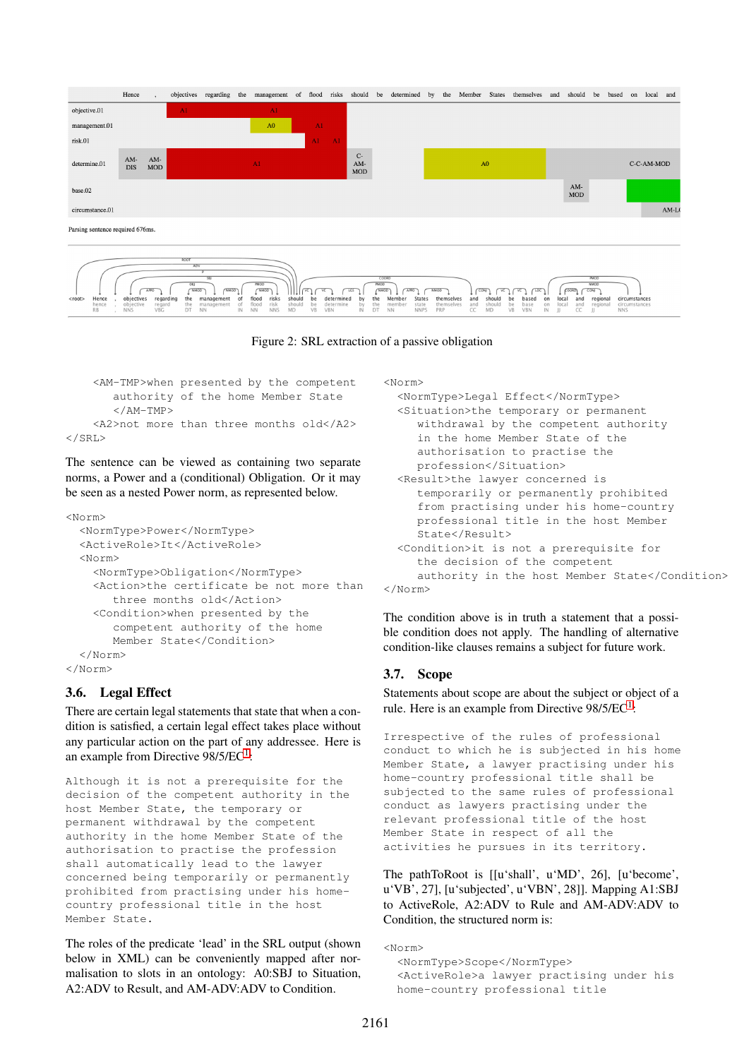

<span id="page-4-0"></span>Figure 2: SRL extraction of a passive obligation

```
<AM-TMP>when presented by the competent
       authority of the home Member State
       </AM-TMP>
    <A2>not more than three months old</A2>
\langle/SRL>
```
The sentence can be viewed as containing two separate norms, a Power and a (conditional) Obligation. Or it may be seen as a nested Power norm, as represented below.

```
<Norm>
  <NormType>Power</NormType>
  <ActiveRole>It</ActiveRole>
  <Norm>
    <NormType>Obligation</NormType>
    <Action>the certificate be not more than
       three months old</Action>
    <Condition>when presented by the
       competent authority of the home
       Member State</Condition>
  </Norm>
</Norm>
```
# 3.6. Legal Effect

There are certain legal statements that state that when a condition is satisfied, a certain legal effect takes place without any particular action on the part of any addressee. Here is an example from Directive 98/5/EC<sup>[1](#page-2-0)</sup>:

Although it is not a prerequisite for the decision of the competent authority in the host Member State, the temporary or permanent withdrawal by the competent authority in the home Member State of the authorisation to practise the profession shall automatically lead to the lawyer concerned being temporarily or permanently prohibited from practising under his homecountry professional title in the host Member State.

The roles of the predicate 'lead' in the SRL output (shown below in XML) can be conveniently mapped after normalisation to slots in an ontology: A0:SBJ to Situation, A2:ADV to Result, and AM-ADV:ADV to Condition.

<Norm>

```
<NormType>Legal Effect</NormType>
<Situation>the temporary or permanent
  withdrawal by the competent authority
  in the home Member State of the
  authorisation to practise the
  profession</Situation>
<Result>the lawyer concerned is
  temporarily or permanently prohibited
  from practising under his home-country
  professional title in the host Member
  State</math><Condition>it is not a prerequisite for
  the decision of the competent
  authority in the host Member State</Condition>
```
</Norm>

The condition above is in truth a statement that a possible condition does not apply. The handling of alternative condition-like clauses remains a subject for future work.

# 3.7. Scope

Statements about scope are about the subject or object of a rule. Here is an example from Directive  $98/5/EC<sup>1</sup>$  $98/5/EC<sup>1</sup>$  $98/5/EC<sup>1</sup>$ :

Irrespective of the rules of professional conduct to which he is subjected in his home Member State, a lawyer practising under his home-country professional title shall be subjected to the same rules of professional conduct as lawyers practising under the relevant professional title of the host Member State in respect of all the activities he pursues in its territory.

The pathToRoot is [[u'shall', u'MD', 26], [u'become', u'VB', 27], [u'subjected', u'VBN', 28]]. Mapping A1:SBJ to ActiveRole, A2:ADV to Rule and AM-ADV:ADV to Condition, the structured norm is:

```
\langleNorm\rangle<NormType>Scope</NormType>
  <ActiveRole>a lawyer practising under his
  home-country professional title
```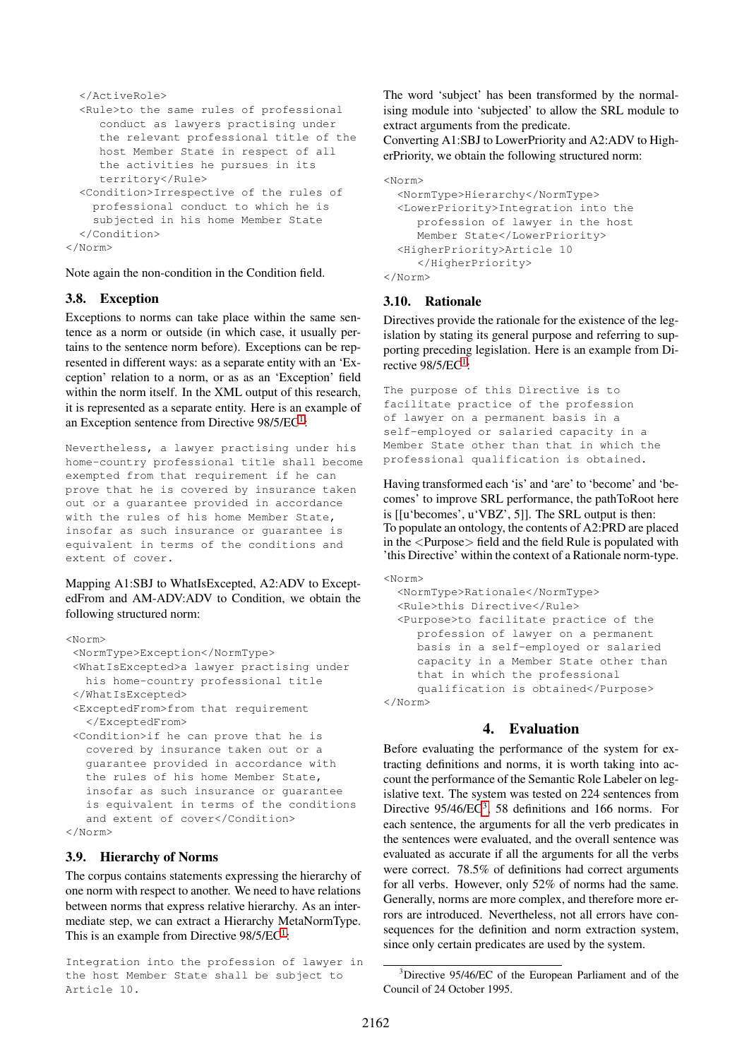```
</ActiveRole>
  <Rule>to the same rules of professional
     conduct as lawyers practising under
     the relevant professional title of the
    host Member State in respect of all
     the activities he pursues in its
     territory</Rule>
  <Condition>Irrespective of the rules of
    professional conduct to which he is
    subjected in his home Member State
  </Condition>
</Norm>
```
Note again the non-condition in the Condition field.

### 3.8. Exception

Exceptions to norms can take place within the same sentence as a norm or outside (in which case, it usually pertains to the sentence norm before). Exceptions can be represented in different ways: as a separate entity with an 'Exception' relation to a norm, or as as an 'Exception' field within the norm itself. In the XML output of this research, it is represented as a separate entity. Here is an example of an Exception sentence from Directive 98/5/EC<sup>[1](#page-2-0)</sup>:

Nevertheless, a lawyer practising under his home-country professional title shall become exempted from that requirement if he can prove that he is covered by insurance taken out or a guarantee provided in accordance with the rules of his home Member State, insofar as such insurance or guarantee is equivalent in terms of the conditions and extent of cover.

Mapping A1:SBJ to WhatIsExcepted, A2:ADV to ExceptedFrom and AM-ADV:ADV to Condition, we obtain the following structured norm:

```
<Norm>
 <NormType>Exception</NormType>
 <WhatIsExcepted>a lawyer practising under
  his home-country professional title
 </WhatIsExcepted>
 <ExceptedFrom>from that requirement
  </ExceptedFrom>
 <Condition>if he can prove that he is
  covered by insurance taken out or a
  guarantee provided in accordance with
  the rules of his home Member State,
  insofar as such insurance or guarantee
  is equivalent in terms of the conditions
  and extent of cover</Condition>
```

```
</Norm>
```
### 3.9. Hierarchy of Norms

The corpus contains statements expressing the hierarchy of one norm with respect to another. We need to have relations between norms that express relative hierarchy. As an intermediate step, we can extract a Hierarchy MetaNormType. This is an example from Directive  $98/5/EC<sup>1</sup>$  $98/5/EC<sup>1</sup>$  $98/5/EC<sup>1</sup>$ :

Integration into the profession of lawyer in the host Member State shall be subject to Article 10.

The word 'subject' has been transformed by the normalising module into 'subjected' to allow the SRL module to extract arguments from the predicate.

Converting A1:SBJ to LowerPriority and A2:ADV to HigherPriority, we obtain the following structured norm:

```
<Norm>
 <NormType>Hierarchy</NormType>
  <LowerPriority>Integration into the
    profession of lawyer in the host
     Member State</LowerPriority>
  <HigherPriority>Article 10
     </HigherPriority>
</Norm>
```
### 3.10. Rationale

Directives provide the rationale for the existence of the legislation by stating its general purpose and referring to supporting preceding legislation. Here is an example from Directive  $98/5/EC<sup>1</sup>$  $98/5/EC<sup>1</sup>$  $98/5/EC<sup>1</sup>$ :

```
The purpose of this Directive is to
facilitate practice of the profession
of lawyer on a permanent basis in a
self-employed or salaried capacity in a
Member State other than that in which the
professional qualification is obtained.
```
Having transformed each 'is' and 'are' to 'become' and 'becomes' to improve SRL performance, the pathToRoot here is [[u'becomes', u'VBZ', 5]]. The SRL output is then: To populate an ontology, the contents of A2:PRD are placed in the <Purpose> field and the field Rule is populated with 'this Directive' within the context of a Rationale norm-type.

```
<Norm>
  <NormType>Rationale</NormType>
  <Rule>this Directive</Rule>
  <Purpose>to facilitate practice of the
     profession of lawyer on a permanent
    basis in a self-employed or salaried
     capacity in a Member State other than
     that in which the professional
     qualification is obtained</Purpose>
</Norm>
```
## 4. Evaluation

Before evaluating the performance of the system for extracting definitions and norms, it is worth taking into account the performance of the Semantic Role Labeler on legislative text. The system was tested on 224 sentences from Directive  $95/46/EC^3$  $95/46/EC^3$ , 58 definitions and 166 norms. For each sentence, the arguments for all the verb predicates in the sentences were evaluated, and the overall sentence was evaluated as accurate if all the arguments for all the verbs were correct. 78.5% of definitions had correct arguments for all verbs. However, only 52% of norms had the same. Generally, norms are more complex, and therefore more errors are introduced. Nevertheless, not all errors have consequences for the definition and norm extraction system, since only certain predicates are used by the system.

<span id="page-5-0"></span><sup>&</sup>lt;sup>3</sup>Directive 95/46/EC of the European Parliament and of the Council of 24 October 1995.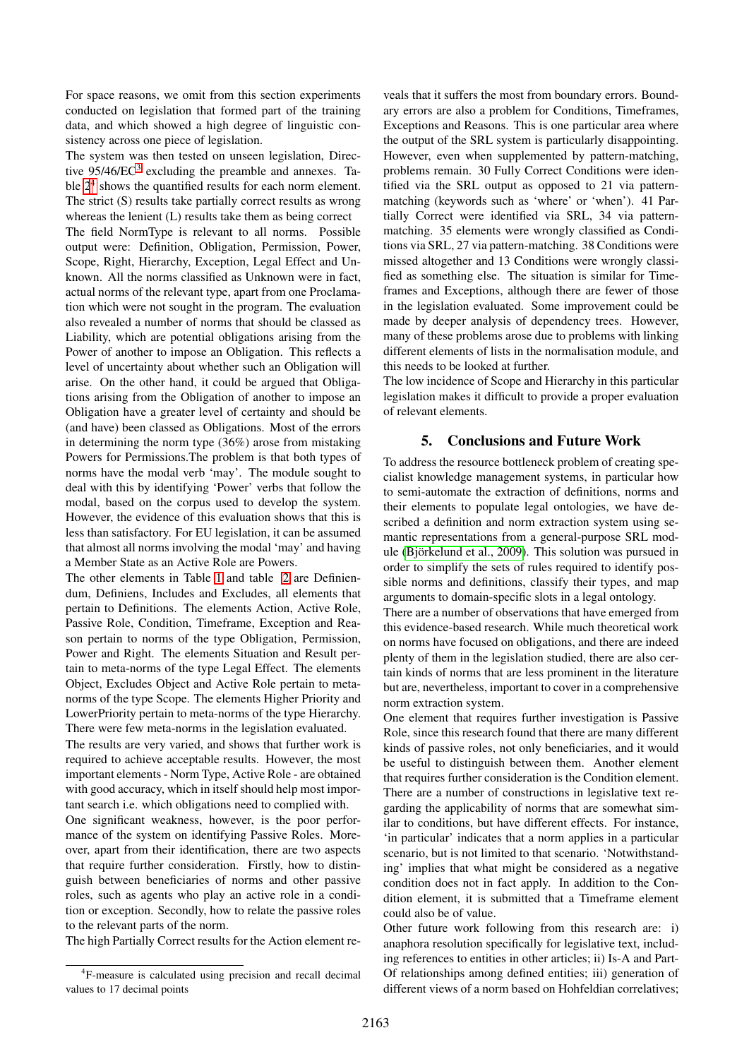For space reasons, we omit from this section experiments conducted on legislation that formed part of the training data, and which showed a high degree of linguistic consistency across one piece of legislation.

The system was then tested on unseen legislation, Directive  $95/46/EC^3$  $95/46/EC^3$  excluding the preamble and annexes. Table  $2<sup>4</sup>$  $2<sup>4</sup>$  $2<sup>4</sup>$  shows the quantified results for each norm element. The strict (S) results take partially correct results as wrong whereas the lenient (L) results take them as being correct The field NormType is relevant to all norms. Possible output were: Definition, Obligation, Permission, Power, Scope, Right, Hierarchy, Exception, Legal Effect and Unknown. All the norms classified as Unknown were in fact, actual norms of the relevant type, apart from one Proclamation which were not sought in the program. The evaluation also revealed a number of norms that should be classed as Liability, which are potential obligations arising from the Power of another to impose an Obligation. This reflects a level of uncertainty about whether such an Obligation will arise. On the other hand, it could be argued that Obligations arising from the Obligation of another to impose an Obligation have a greater level of certainty and should be (and have) been classed as Obligations. Most of the errors in determining the norm type (36%) arose from mistaking Powers for Permissions.The problem is that both types of norms have the modal verb 'may'. The module sought to deal with this by identifying 'Power' verbs that follow the modal, based on the corpus used to develop the system. However, the evidence of this evaluation shows that this is less than satisfactory. For EU legislation, it can be assumed that almost all norms involving the modal 'may' and having a Member State as an Active Role are Powers.

The other elements in Table [1](#page-7-3) and table [2](#page-7-2) are Definiendum, Definiens, Includes and Excludes, all elements that pertain to Definitions. The elements Action, Active Role, Passive Role, Condition, Timeframe, Exception and Reason pertain to norms of the type Obligation, Permission, Power and Right. The elements Situation and Result pertain to meta-norms of the type Legal Effect. The elements Object, Excludes Object and Active Role pertain to metanorms of the type Scope. The elements Higher Priority and LowerPriority pertain to meta-norms of the type Hierarchy. There were few meta-norms in the legislation evaluated.

The results are very varied, and shows that further work is required to achieve acceptable results. However, the most important elements - Norm Type, Active Role - are obtained with good accuracy, which in itself should help most important search i.e. which obligations need to complied with.

One significant weakness, however, is the poor performance of the system on identifying Passive Roles. Moreover, apart from their identification, there are two aspects that require further consideration. Firstly, how to distinguish between beneficiaries of norms and other passive roles, such as agents who play an active role in a condition or exception. Secondly, how to relate the passive roles to the relevant parts of the norm.

The high Partially Correct results for the Action element re-

veals that it suffers the most from boundary errors. Boundary errors are also a problem for Conditions, Timeframes, Exceptions and Reasons. This is one particular area where the output of the SRL system is particularly disappointing. However, even when supplemented by pattern-matching, problems remain. 30 Fully Correct Conditions were identified via the SRL output as opposed to 21 via patternmatching (keywords such as 'where' or 'when'). 41 Partially Correct were identified via SRL, 34 via patternmatching. 35 elements were wrongly classified as Conditions via SRL, 27 via pattern-matching. 38 Conditions were missed altogether and 13 Conditions were wrongly classified as something else. The situation is similar for Timeframes and Exceptions, although there are fewer of those in the legislation evaluated. Some improvement could be made by deeper analysis of dependency trees. However, many of these problems arose due to problems with linking different elements of lists in the normalisation module, and this needs to be looked at further.

The low incidence of Scope and Hierarchy in this particular legislation makes it difficult to provide a proper evaluation of relevant elements.

### 5. Conclusions and Future Work

To address the resource bottleneck problem of creating specialist knowledge management systems, in particular how to semi-automate the extraction of definitions, norms and their elements to populate legal ontologies, we have described a definition and norm extraction system using semantic representations from a general-purpose SRL module (Björkelund et al., 2009). This solution was pursued in order to simplify the sets of rules required to identify possible norms and definitions, classify their types, and map arguments to domain-specific slots in a legal ontology.

There are a number of observations that have emerged from this evidence-based research. While much theoretical work on norms have focused on obligations, and there are indeed plenty of them in the legislation studied, there are also certain kinds of norms that are less prominent in the literature but are, nevertheless, important to cover in a comprehensive norm extraction system.

One element that requires further investigation is Passive Role, since this research found that there are many different kinds of passive roles, not only beneficiaries, and it would be useful to distinguish between them. Another element that requires further consideration is the Condition element. There are a number of constructions in legislative text regarding the applicability of norms that are somewhat similar to conditions, but have different effects. For instance, 'in particular' indicates that a norm applies in a particular scenario, but is not limited to that scenario. 'Notwithstanding' implies that what might be considered as a negative condition does not in fact apply. In addition to the Condition element, it is submitted that a Timeframe element could also be of value.

Other future work following from this research are: i) anaphora resolution specifically for legislative text, including references to entities in other articles; ii) Is-A and Part-Of relationships among defined entities; iii) generation of different views of a norm based on Hohfeldian correlatives;

<span id="page-6-0"></span><sup>&</sup>lt;sup>4</sup>F-measure is calculated using precision and recall decimal values to 17 decimal points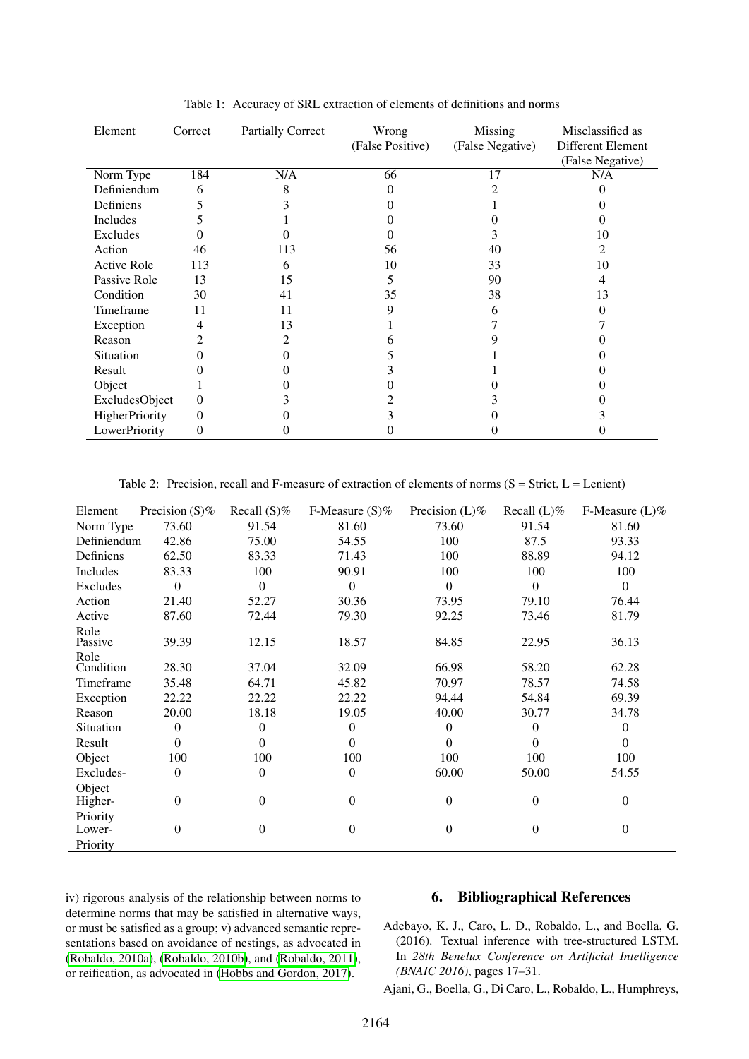| Element            | Correct  | <b>Partially Correct</b> | Wrong<br>(False Positive) | Missing<br>(False Negative) | Misclassified as<br>Different Element<br>(False Negative) |
|--------------------|----------|--------------------------|---------------------------|-----------------------------|-----------------------------------------------------------|
| Norm Type          | 184      | N/A                      | 66                        | 17                          | N/A                                                       |
| Definiendum        | 6        | 8                        |                           |                             |                                                           |
| Definiens          |          |                          |                           |                             |                                                           |
| Includes           |          |                          |                           |                             |                                                           |
| Excludes           |          |                          |                           |                             | 10                                                        |
| Action             | 46       | 113                      | 56                        | 40                          | 2                                                         |
| <b>Active Role</b> | 113      | 6                        | 10                        | 33                          | 10                                                        |
| Passive Role       | 13       | 15                       | 5                         | 90                          | 4                                                         |
| Condition          | 30       | 41                       | 35                        | 38                          | 13                                                        |
| Timeframe          | 11       | 11                       | 9                         | 6                           |                                                           |
| Exception          | 4        | 13                       |                           |                             |                                                           |
| Reason             |          | 2                        |                           |                             |                                                           |
| Situation          |          |                          |                           |                             |                                                           |
| Result             |          |                          |                           |                             |                                                           |
| Object             |          |                          |                           |                             |                                                           |
| ExcludesObject     | $\Omega$ |                          |                           |                             |                                                           |
| HigherPriority     | $\Omega$ |                          |                           |                             |                                                           |
| LowerPriority      | $\theta$ |                          |                           |                             |                                                           |

<span id="page-7-3"></span>Table 1: Accuracy of SRL extraction of elements of definitions and norms

<span id="page-7-2"></span>Table 2: Precision, recall and F-measure of extraction of elements of norms  $(S = \text{Strict}, L = \text{Lenient})$ 

| Element           | Precision $(S)\%$ | Recall $(S)\%$ | F-Measure $(S)\%$ | Precision $(L)\%$ | Recall $(L)\%$   | F-Measure $(L)\%$ |
|-------------------|-------------------|----------------|-------------------|-------------------|------------------|-------------------|
| Norm Type         | 73.60             | 91.54          | 81.60             | 73.60             | 91.54            | 81.60             |
| Definiendum       | 42.86             | 75.00          | 54.55             | 100               | 87.5             | 93.33             |
| Definiens         | 62.50             | 83.33          | 71.43             | 100               | 88.89            | 94.12             |
| Includes          | 83.33             | 100            | 90.91             | 100               | 100              | 100               |
| Excludes          | $\theta$          | $\Omega$       | $\theta$          | $\Omega$          | $\Omega$         | $\theta$          |
| Action            | 21.40             | 52.27          | 30.36             | 73.95             | 79.10            | 76.44             |
| Active            | 87.60             | 72.44          | 79.30             | 92.25             | 73.46            | 81.79             |
| Role<br>Passive   | 39.39             | 12.15          | 18.57             | 84.85             | 22.95            | 36.13             |
| Role<br>Condition | 28.30             | 37.04          | 32.09             | 66.98             | 58.20            | 62.28             |
| Timeframe         | 35.48             | 64.71          | 45.82             | 70.97             | 78.57            | 74.58             |
| Exception         | 22.22             | 22.22          | 22.22             | 94.44             | 54.84            | 69.39             |
| Reason            | 20.00             | 18.18          | 19.05             | 40.00             | 30.77            | 34.78             |
| Situation         | 0                 | $\Omega$       | $\theta$          | $\theta$          | $\theta$         | $\overline{0}$    |
| Result            | $\Omega$          | $\Omega$       | $\theta$          | $\theta$          | $\Omega$         | $\Omega$          |
| Object            | 100               | 100            | 100               | 100               | 100              | 100               |
| Excludes-         | $\mathbf{0}$      | $\mathbf{0}$   | $\mathbf{0}$      | 60.00             | 50.00            | 54.55             |
| Object            |                   |                |                   |                   |                  |                   |
| Higher-           | $\mathbf{0}$      | $\theta$       | $\mathbf{0}$      | $\Omega$          | $\mathbf{0}$     | $\overline{0}$    |
| Priority          |                   |                |                   |                   |                  |                   |
| Lower-            | $\mathbf{0}$      | $\mathbf{0}$   | $\mathbf{0}$      | $\mathbf{0}$      | $\boldsymbol{0}$ | $\boldsymbol{0}$  |
| Priority          |                   |                |                   |                   |                  |                   |

iv) rigorous analysis of the relationship between norms to determine norms that may be satisfied in alternative ways, or must be satisfied as a group; v) advanced semantic representations based on avoidance of nestings, as advocated in [\(Robaldo, 2010a\)](#page-9-26), [\(Robaldo, 2010b\)](#page-9-27), and [\(Robaldo, 2011\)](#page-9-28), or reification, as advocated in [\(Hobbs and Gordon, 2017\)](#page-8-26).

# 6. Bibliographical References

<span id="page-7-0"></span>Adebayo, K. J., Caro, L. D., Robaldo, L., and Boella, G. (2016). Textual inference with tree-structured LSTM. In *28th Benelux Conference on Artificial Intelligence (BNAIC 2016)*, pages 17–31.

<span id="page-7-1"></span>Ajani, G., Boella, G., Di Caro, L., Robaldo, L., Humphreys,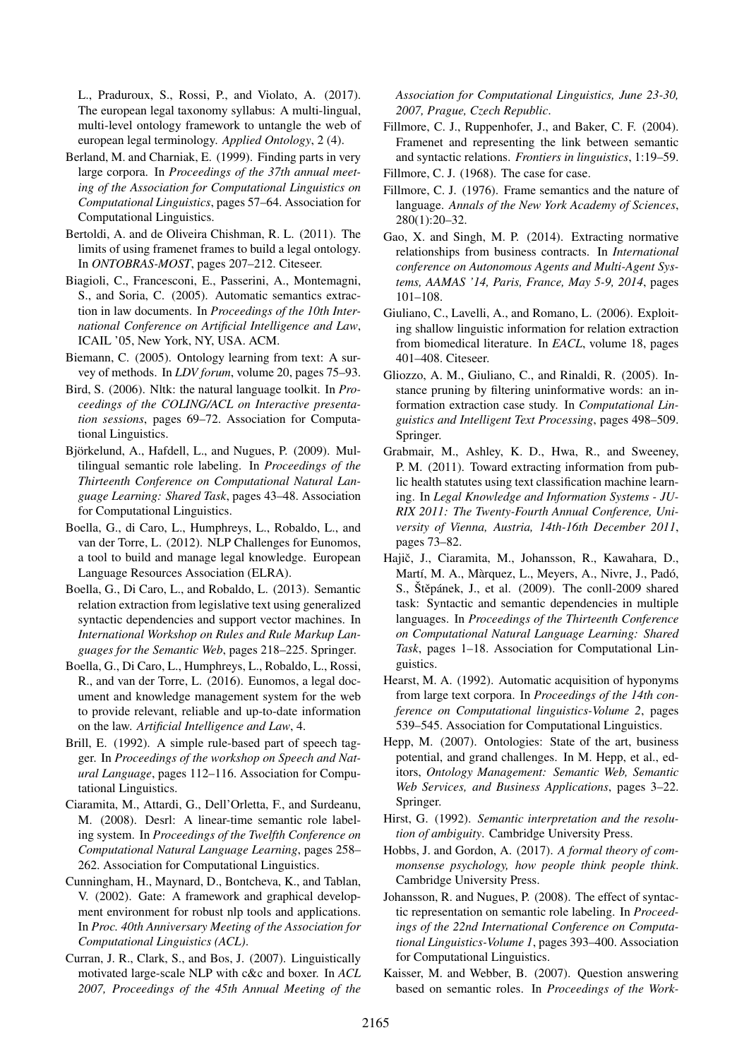L., Praduroux, S., Rossi, P., and Violato, A. (2017). The european legal taxonomy syllabus: A multi-lingual, multi-level ontology framework to untangle the web of european legal terminology. *Applied Ontology*, 2 (4).

- <span id="page-8-4"></span>Berland, M. and Charniak, E. (1999). Finding parts in very large corpora. In *Proceedings of the 37th annual meeting of the Association for Computational Linguistics on Computational Linguistics*, pages 57–64. Association for Computational Linguistics.
- <span id="page-8-21"></span>Bertoldi, A. and de Oliveira Chishman, R. L. (2011). The limits of using framenet frames to build a legal ontology. In *ONTOBRAS-MOST*, pages 207–212. Citeseer.
- <span id="page-8-13"></span>Biagioli, C., Francesconi, E., Passerini, A., Montemagni, S., and Soria, C. (2005). Automatic semantics extraction in law documents. In *Proceedings of the 10th International Conference on Artificial Intelligence and Law*, ICAIL '05, New York, NY, USA. ACM.
- <span id="page-8-2"></span>Biemann, C. (2005). Ontology learning from text: A survey of methods. In *LDV forum*, volume 20, pages 75–93.
- <span id="page-8-24"></span>Bird, S. (2006). Nltk: the natural language toolkit. In *Proceedings of the COLING/ACL on Interactive presentation sessions*, pages 69–72. Association for Computational Linguistics.
- <span id="page-8-20"></span>Björkelund, A., Hafdell, L., and Nugues, P. (2009). Multilingual semantic role labeling. In *Proceedings of the Thirteenth Conference on Computational Natural Language Learning: Shared Task*, pages 43–48. Association for Computational Linguistics.
- <span id="page-8-9"></span>Boella, G., di Caro, L., Humphreys, L., Robaldo, L., and van der Torre, L. (2012). NLP Challenges for Eunomos, a tool to build and manage legal knowledge. European Language Resources Association (ELRA).
- <span id="page-8-10"></span>Boella, G., Di Caro, L., and Robaldo, L. (2013). Semantic relation extraction from legislative text using generalized syntactic dependencies and support vector machines. In *International Workshop on Rules and Rule Markup Languages for the Semantic Web*, pages 218–225. Springer.
- <span id="page-8-0"></span>Boella, G., Di Caro, L., Humphreys, L., Robaldo, L., Rossi, R., and van der Torre, L. (2016). Eunomos, a legal document and knowledge management system for the web to provide relevant, reliable and up-to-date information on the law. *Artificial Intelligence and Law*, 4.
- <span id="page-8-23"></span>Brill, E. (1992). A simple rule-based part of speech tagger. In *Proceedings of the workshop on Speech and Natural Language*, pages 112–116. Association for Computational Linguistics.
- <span id="page-8-19"></span>Ciaramita, M., Attardi, G., Dell'Orletta, F., and Surdeanu, M. (2008). Desrl: A linear-time semantic role labeling system. In *Proceedings of the Twelfth Conference on Computational Natural Language Learning*, pages 258– 262. Association for Computational Linguistics.
- <span id="page-8-8"></span>Cunningham, H., Maynard, D., Bontcheva, K., and Tablan, V. (2002). Gate: A framework and graphical development environment for robust nlp tools and applications. In *Proc. 40th Anniversary Meeting of the Association for Computational Linguistics (ACL)*.
- <span id="page-8-7"></span>Curran, J. R., Clark, S., and Bos, J. (2007). Linguistically motivated large-scale NLP with c&c and boxer. In *ACL 2007, Proceedings of the 45th Annual Meeting of the*

*Association for Computational Linguistics, June 23-30, 2007, Prague, Czech Republic*.

- <span id="page-8-16"></span>Fillmore, C. J., Ruppenhofer, J., and Baker, C. F. (2004). Framenet and representing the link between semantic and syntactic relations. *Frontiers in linguistics*, 1:19–59.
- <span id="page-8-14"></span>Fillmore, C. J. (1968). The case for case.
- <span id="page-8-17"></span>Fillmore, C. J. (1976). Frame semantics and the nature of language. *Annals of the New York Academy of Sciences*, 280(1):20–32.
- <span id="page-8-11"></span>Gao, X. and Singh, M. P. (2014). Extracting normative relationships from business contracts. In *International conference on Autonomous Agents and Multi-Agent Systems, AAMAS '14, Paris, France, May 5-9, 2014*, pages 101–108.
- <span id="page-8-5"></span>Giuliano, C., Lavelli, A., and Romano, L. (2006). Exploiting shallow linguistic information for relation extraction from biomedical literature. In *EACL*, volume 18, pages 401–408. Citeseer.
- <span id="page-8-6"></span>Gliozzo, A. M., Giuliano, C., and Rinaldi, R. (2005). Instance pruning by filtering uninformative words: an information extraction case study. In *Computational Linguistics and Intelligent Text Processing*, pages 498–509. Springer.
- <span id="page-8-12"></span>Grabmair, M., Ashley, K. D., Hwa, R., and Sweeney, P. M. (2011). Toward extracting information from public health statutes using text classification machine learning. In *Legal Knowledge and Information Systems - JU-RIX 2011: The Twenty-Fourth Annual Conference, University of Vienna, Austria, 14th-16th December 2011*, pages 73–82.
- <span id="page-8-25"></span>Hajič, J., Ciaramita, M., Johansson, R., Kawahara, D., Martí, M. A., Màrquez, L., Meyers, A., Nivre, J., Padó, S., Stěpánek, J., et al.  $(2009)$ . The conll-2009 shared task: Syntactic and semantic dependencies in multiple languages. In *Proceedings of the Thirteenth Conference on Computational Natural Language Learning: Shared Task*, pages 1–18. Association for Computational Linguistics.
- <span id="page-8-3"></span>Hearst, M. A. (1992). Automatic acquisition of hyponyms from large text corpora. In *Proceedings of the 14th conference on Computational linguistics-Volume 2*, pages 539–545. Association for Computational Linguistics.
- <span id="page-8-1"></span>Hepp, M. (2007). Ontologies: State of the art, business potential, and grand challenges. In M. Hepp, et al., editors, *Ontology Management: Semantic Web, Semantic Web Services, and Business Applications*, pages 3–22. Springer.
- <span id="page-8-15"></span>Hirst, G. (1992). *Semantic interpretation and the resolution of ambiguity*. Cambridge University Press.
- <span id="page-8-26"></span>Hobbs, J. and Gordon, A. (2017). *A formal theory of commonsense psychology, how people think people think*. Cambridge University Press.
- <span id="page-8-18"></span>Johansson, R. and Nugues, P. (2008). The effect of syntactic representation on semantic role labeling. In *Proceedings of the 22nd International Conference on Computational Linguistics-Volume 1*, pages 393–400. Association for Computational Linguistics.
- <span id="page-8-22"></span>Kaisser, M. and Webber, B. (2007). Question answering based on semantic roles. In *Proceedings of the Work-*